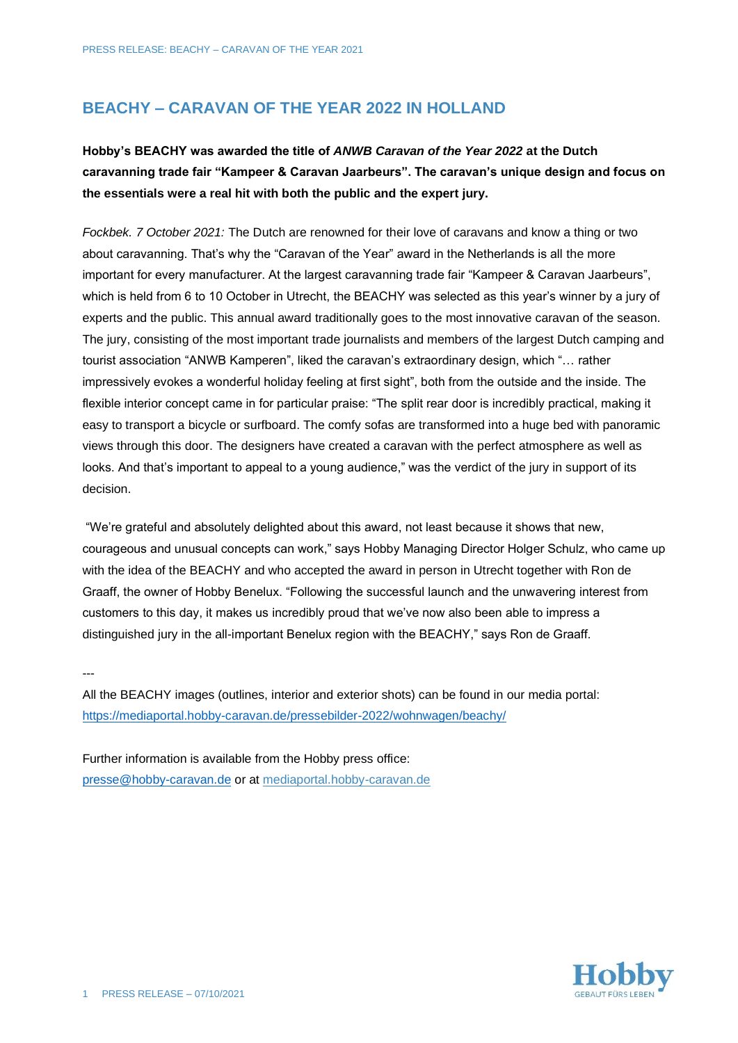## **BEACHY – CARAVAN OF THE YEAR 2022 IN HOLLAND**

## **Hobby's BEACHY was awarded the title of** *ANWB Caravan of the Year 2022* **at the Dutch caravanning trade fair "Kampeer & Caravan Jaarbeurs". The caravan's unique design and focus on the essentials were a real hit with both the public and the expert jury.**

*Fockbek. 7 October 2021:* The Dutch are renowned for their love of caravans and know a thing or two about caravanning. That's why the "Caravan of the Year" award in the Netherlands is all the more important for every manufacturer. At the largest caravanning trade fair "Kampeer & Caravan Jaarbeurs", which is held from 6 to 10 October in Utrecht, the BEACHY was selected as this year's winner by a jury of experts and the public. This annual award traditionally goes to the most innovative caravan of the season. The jury, consisting of the most important trade journalists and members of the largest Dutch camping and tourist association "ANWB Kamperen", liked the caravan's extraordinary design, which "… rather impressively evokes a wonderful holiday feeling at first sight", both from the outside and the inside. The flexible interior concept came in for particular praise: "The split rear door is incredibly practical, making it easy to transport a bicycle or surfboard. The comfy sofas are transformed into a huge bed with panoramic views through this door. The designers have created a caravan with the perfect atmosphere as well as looks. And that's important to appeal to a young audience," was the verdict of the jury in support of its decision.

"We're grateful and absolutely delighted about this award, not least because it shows that new, courageous and unusual concepts can work," says Hobby Managing Director Holger Schulz, who came up with the idea of the BEACHY and who accepted the award in person in Utrecht together with Ron de Graaff, the owner of Hobby Benelux. "Following the successful launch and the unwavering interest from customers to this day, it makes us incredibly proud that we've now also been able to impress a distinguished jury in the all-important Benelux region with the BEACHY," says Ron de Graaff.

---

All the BEACHY images (outlines, interior and exterior shots) can be found in our media portal: <https://mediaportal.hobby-caravan.de/pressebilder-2022/wohnwagen/beachy/>

Further information is available from the Hobby press office: [presse@hobby-caravan.de](mailto:presse@hobby-caravan.de) or at [mediaportal.hobby-caravan.de](https://mediaportal.hobby-caravan.de/)